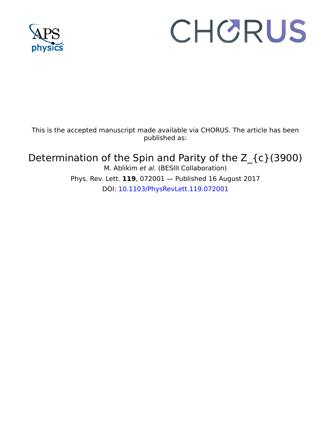

## CHORUS

This is the accepted manuscript made available via CHORUS. The article has been published as:

Determination of the Spin and Parity of the Z\_{c}(3900) M. Ablikim et al. (BESIII Collaboration) Phys. Rev. Lett. **119**, 072001 — Published 16 August 2017 DOI: [10.1103/PhysRevLett.119.072001](http://dx.doi.org/10.1103/PhysRevLett.119.072001)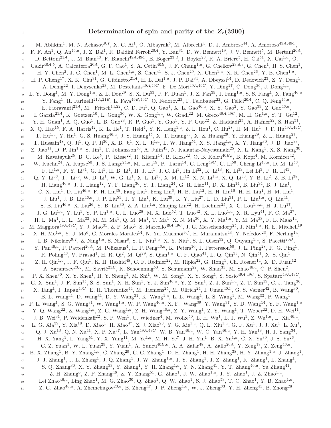## $\frac{1}{1}$  Determination of spin and parity of the  $Z_c(3900)$

M. Ablikim<sup>1</sup>, M. N. Achasov<sup>9,f</sup>, X. C. Ai<sup>1</sup>, O. Albayrak<sup>5</sup>, M. Albrecht<sup>4</sup>, D. J. Ambrose<sup>44</sup>, A. Amoroso<sup>49A,49C</sup>, <sup>3</sup> F. F. An<sup>1</sup>, Q. An<sup>46,a</sup>, J. Z. Bai<sup>1</sup>, R. Baldini Ferroli<sup>20A</sup>, Y. Ban<sup>31</sup>, D. W. Bennett<sup>19</sup>, J. V. Bennett<sup>5</sup>, M. Bertani<sup>20A</sup>, D. Bettoni<sup>21A</sup>, J. M. Bian<sup>43</sup>, F. Bianchi<sup>49A,49C</sup>, E. Boger<sup>23,d</sup>, I. Boyko<sup>23</sup>, R. A. Briere<sup>5</sup>, H. Cai<sup>51</sup>, X. Cai<sup>1,a</sup>, O. 5 Cakir<sup>40A,b</sup>, A. Calcaterra<sup>20A</sup>, G. F. Cao<sup>1</sup>, S. A. Cetin<sup>40B</sup>, J. F. Chang<sup>1,a</sup>, G. Chelkov<sup>23,d,e</sup>, G. Chen<sup>1</sup>, H. S. Chen<sup>1</sup>, 6 H. Y. Chen<sup>2</sup>, J. C. Chen<sup>1</sup>, M. L. Chen<sup>1,a</sup>, S. Chen<sup>41</sup>, S. J. Chen<sup>29</sup>, X. Chen<sup>1,a</sup>, X. R. Chen<sup>26</sup>, Y. B. Chen<sup>1,a</sup>, H. P. Cheng<sup>17</sup>, X. K. Chu<sup>31</sup>, G. Cibinetto<sup>21A</sup>, H. L. Dai<sup>1,a</sup>, J. P. Dai<sup>34</sup>, A. Dbeyssi<sup>14</sup>, D. Dedovich<sup>23</sup>, Z. Y. Deng<sup>1</sup>, <sup>8</sup> A. Denig<sup>22</sup>, I. Denysenko<sup>23</sup>, M. Destefanis<sup>49A,49C</sup>, F. De Mori<sup>49A,49C</sup>, Y. Ding<sup>27</sup>, C. Dong<sup>30</sup>, J. Dong<sup>1,a</sup>,  $L. Y.$   $\text{Dong}^1$ , M. Y.  $\text{Dong}^{1,a}$ , Z. L.  $\text{Dou}^{29}$ , S. X.  $\text{Du}^{53}$ , P. F.  $\text{Duan}^1$ , J. Z.  $\text{Fan}^{39}$ , J.  $\text{Fang}^{1,a}$ , S. S.  $\text{Fang}^1$ , X.  $\text{Fang}^{46,a}$ , <sup>10</sup> Y. Fang<sup>1</sup>, R. Farinelli<sup>21A,21B</sup>, L. Fava<sup>49B,49C</sup>, O. Fedorov<sup>23</sup>, F. Feldbauer<sup>22</sup>, G. Felici<sup>20A</sup>, C. Q. Feng<sup>46,a</sup>,  $E.$  Fioravanti<sup>21A</sup>, M. Fritsch<sup>14,22</sup>, C. D. Fu<sup>1</sup>, Q. Gao<sup>1</sup>, X. L. Gao<sup>46,a</sup>, X. Y. Gao<sup>2</sup>, Y. Gao<sup>39</sup>, Z. Gao<sup>46,a</sup>, 12 I. Garzia<sup>21A</sup>, K. Goetzen<sup>10</sup>, L. Gong<sup>30</sup>, W. X. Gong<sup>1,a</sup>, W. Gradl<sup>22</sup>, M. Greco<sup>49A,49C</sup>, M. H. Gu<sup>1,a</sup>, Y. T. Gu<sup>12</sup>, 13 Y. H. Guan<sup>1</sup>, A. Q. Guo<sup>1</sup>, L. B. Guo<sup>28</sup>, R. P. Guo<sup>1</sup>, Y. Guo<sup>1</sup>, Y. P. Guo<sup>22</sup>, Z. Haddadi<sup>25</sup>, A. Hafner<sup>22</sup>, S. Han<sup>51</sup>,  $X$ , Q. Hao<sup>15</sup>, F. A. Harris<sup>42</sup>, K. L. He<sup>1</sup>, T. Held<sup>4</sup>, Y. K. Heng<sup>1,a</sup>, Z. L. Hou<sup>1</sup>, C. Hu<sup>28</sup>, H. M. Hu<sup>1</sup>, J. F. Hu<sup>49A,49C</sup>, 15 T. Hu<sup>1,a</sup>, Y. Hu<sup>1</sup>, G. S. Huang<sup>46,a</sup>, J. S. Huang<sup>15</sup>, X. T. Huang<sup>33</sup>, X. Z. Huang<sup>29</sup>, Y. Huang<sup>29</sup>, Z. L. Huang<sup>27</sup>, 16 T. Hussain<sup>48</sup>, Q. Ji<sup>1</sup>, Q. P. Ji<sup>30</sup>, X. B. Ji<sup>1</sup>, X. L. Ji<sup>1,a</sup>, L. W. Jiang<sup>51</sup>, X. S. Jiang<sup>1,a</sup>, X. Y. Jiang<sup>30</sup>, J. B. Jiao<sup>33</sup>,  $Z$ . Jiao<sup>17</sup>, D. P. Jin<sup>1,a</sup>, S. Jin<sup>1</sup>, T. Johansson<sup>50</sup>, A. Julin<sup>43</sup>, N. Kalantar-Nayestanaki<sup>25</sup>, X. L. Kang<sup>1</sup>, X. S. Kang<sup>30</sup>, 18 M. Kavatsyuk<sup>25</sup>, B. C. Ke<sup>5</sup>, P. Kiese<sup>22</sup>, R. Kliemt<sup>14</sup>, B. Kloss<sup>22</sup>, O. B. Kolcu<sup>40B,i</sup>, B. Kopf<sup>4</sup>, M. Kornicer<sup>42</sup>,  $W.$  Kuehn<sup>24</sup>, A. Kupsc<sup>50</sup>, J. S. Lange<sup>24,a</sup>, M. Lara<sup>19</sup>, P. Larin<sup>14</sup>, C. Leng<sup>49C</sup>, C. Li<sup>50</sup>, Cheng Li<sup>46,a</sup>, D. M. Li<sup>53</sup>, 20 F. Li<sup>1,a</sup>, F. Y. Li<sup>31</sup>, G. Li<sup>1</sup>, H. B. Li<sup>1</sup>, H. J. Li<sup>1</sup>, J. C. Li<sup>1</sup>, Jin Li<sup>32</sup>, K. Li<sup>13</sup>, K. Li<sup>33</sup>, Lei Li<sup>3</sup>, P. R. Li<sup>41</sup>,  $Q. Y. Li^{33}, T. Li^{33}, W. D. Li^{1}, W. G. Li^{1}, X. L. Li^{33}, X. M. Li^{12}, X. N. Li^{1,a}, X. Q. Li^{30}, Y. B. Li^{2}, Z. B. Li^{38},$  $_{22}$  H. Liang<sup>46,a</sup>, J. J. Liang<sup>12</sup>, Y. F. Liang<sup>36</sup>, Y. T. Liang<sup>24</sup>, G. R. Liao<sup>11</sup>, D. X. Lin<sup>14</sup>, B. Liu<sup>34</sup>, B. J. Liu<sup>1</sup>, c. X. Liu<sup>1</sup>, D. Liu<sup>46,a</sup>, F. H. Liu<sup>35</sup>, Fang Liu<sup>1</sup>, Feng Liu<sup>6</sup>, H. B. Liu<sup>12</sup>, H. H. Liu<sup>16</sup>, H. H. Liu<sup>1</sup>, H. M. Liu<sup>1</sup>,  $_{24}$  J. Liu<sup>1</sup>, J. B. Liu<sup>46,a</sup>, J. P. Liu<sup>51</sup>, J. Y. Liu<sup>1</sup>, K. Liu<sup>39</sup>, K. Y. Liu<sup>27</sup>, L. D. Liu<sup>31</sup>, P. L. Liu<sup>1,a</sup>, Q. Liu<sup>41</sup>,  $\sim$  S. B. Liu<sup>46,a</sup>, X. Liu<sup>26</sup>, Y. B. Liu<sup>30</sup>, Z. A. Liu<sup>1,a</sup>, Zhiqing Liu<sup>22</sup>, H. Loehner<sup>25</sup>, X. C. Lou<sup>1,a,h</sup>, H. J. Lu<sup>17</sup>,  $J_{26}$  J. G. Lu<sup>1,a</sup>, Y. Lu<sup>1</sup>, Y. P. Lu<sup>1,a</sup>, C. L. Luo<sup>28</sup>, M. X. Luo<sup>52</sup>, T. Luo<sup>42</sup>, X. L. Luo<sup>1,a</sup>, X. R. Lyu<sup>41</sup>, F. C. Ma<sup>27</sup>,  $_{27}$  H. L. Ma<sup>1</sup>, L. L. Ma<sup>33</sup>, M. M. Ma<sup>1</sup>, Q. M. Ma<sup>1</sup>, T. Ma<sup>1</sup>, X. N. Ma<sup>30</sup>, X. Y. Ma<sup>1,a</sup>, Y. M. Ma<sup>33</sup>, F. E. Maas<sup>14</sup>, <sup>28</sup> M. Maggiora<sup>49A,49C</sup>, Y. J. Mao<sup>31</sup>, Z. P. Mao<sup>1</sup>, S. Marcello<sup>49A,49C</sup>, J. G. Messchendorp<sup>25</sup>, J. Min<sup>1,a</sup>, R. E. Mitchell<sup>19</sup>,  $X. H. Mo<sup>1,a</sup>, Y. J. Mo<sup>6</sup>, C. Morales Morales<sup>14</sup>, N. Yu. Muchnoi<sup>9, f</sup>, H. Muramatsu<sup>43</sup>, Y. Nefedov<sup>23</sup>, F. Nering<sup>14</sup>,$ 1. B. Nikolaev $9.5$ , Z. Ning<sup>1,a</sup>, S. Nisar<sup>8</sup>, S. L. Niu<sup>1,a</sup>, X. Y. Niu<sup>1</sup>, S. L. Olsen<sup>32</sup>, Q. Ouyang<sup>1,a</sup>, S. Pacetti<sup>20B</sup>,  $Y.$  Pan<sup>46,a</sup>, P. Patteri<sup>20A</sup>, M. Pelizaeus<sup>4</sup>, H. P. Peng<sup>46,a</sup>, K. Peters<sup>10</sup>, J. Pettersson<sup>50</sup>, J. L. Ping<sup>28</sup>, R. G. Ping<sup>1</sup>,  $R.$  Poling<sup>43</sup>, V. Prasad<sup>1</sup>, H. R. Qi<sup>2</sup>, M. Qi<sup>29</sup>, S. Qian<sup>1,a</sup>, C. F. Qiao<sup>41</sup>, L. Q. Qin<sup>33</sup>, N. Qin<sup>51</sup>, X. S. Qin<sup>1</sup>,  $\text{Z. H. Qin}^{1, a}, \text{ J. F. Qiu}^{1}, \text{ K. H. Rashid}^{48}, \text{ C. F. Redmer}^{22}, \text{ M. Ripka}^{22}, \text{ G. Rong}^{1}, \text{ Ch. Rosner}^{14}, \text{ X. D. Ruan}^{12},$  $A.$  Sarantsev<sup>23,g</sup>, M. Savrié<sup>21B</sup>, K. Schoenning<sup>50</sup>, S. Schumann<sup>22</sup>, W. Shan<sup>31</sup>, M. Shao<sup>46,a</sup>, C. P. Shen<sup>2</sup>, 35 P. X. Shen<sup>30</sup>, X. Y. Shen<sup>1</sup>, H. Y. Sheng<sup>1</sup>, M. Shi<sup>1</sup>, W. M. Song<sup>1</sup>, X. Y. Song<sup>1</sup>, S. Sosio<sup>49A,49C</sup>, S. Spataro<sup>49A,49C</sup>,  $G. X. Sum<sup>1</sup>, J. F. Sun<sup>15</sup>, S. S. Sun<sup>1</sup>, X. H. Sun<sup>1</sup>, Y. J. Sun<sup>46,a</sup>, Y. Z. Sun<sup>1</sup>, Z. J. Sun<sup>1,a</sup>, Z. T. Sun<sup>19</sup>, C. J. Tang<sup>36</sup>,$  $X.$  Tang<sup>1</sup>, I. Tapan<sup>40C</sup>, E. H. Thorndike<sup>44</sup>, M. Tiemens<sup>25</sup>, M. Ullrich<sup>24</sup>, I. Uman<sup>40D</sup>, G. S. Varner<sup>42</sup>, B. Wang<sup>30</sup>,  $B. L. Wang<sup>41</sup>, D. Wang<sup>31</sup>, D. Y. Wang<sup>31</sup>, K. Wang<sup>1,a</sup>, L. L. Wang<sup>1</sup>, L. S. Wang<sup>1</sup>, M. Wang<sup>33</sup>, P. Wang<sup>1</sup>,$ 39 P. L. Wang<sup>1</sup>, S. G. Wang<sup>31</sup>, W. Wang<sup>1,a</sup>, W. P. Wang<sup>46,a</sup>, X. F. Wang<sup>39</sup>, Y. Wang<sup>37</sup>, Y. D. Wang<sup>14</sup>, Y. F. Wang<sup>1,a</sup>, 40 Y. Q. Wang<sup>22</sup>, Z. Wang<sup>1,a</sup>, Z. G. Wang<sup>1,a</sup>, Z. H. Wang<sup>46,a</sup>, Z. Y. Wang<sup>1</sup>, Z. Y. Wang<sup>1</sup>, T. Weber<sup>22</sup>, D. H. Wei<sup>11</sup>,  $_{41}$  J. B. Wei<sup>31</sup>, P. Weidenkaff<sup>22</sup>, S. P. Wen<sup>1</sup>, U. Wiedner<sup>4</sup>, M. Wolke<sup>50</sup>, L. H. Wu<sup>1</sup>, L. J. Wu<sup>1</sup>, Z. Wu<sup>1,a</sup>, L. Xia<sup>46,a</sup>, 42 L. G. Xia<sup>39</sup>, Y. Xia<sup>18</sup>, D. Xiao<sup>1</sup>, H. Xiao<sup>47</sup>, Z. J. Xiao<sup>28</sup>, Y. G. Xie<sup>1,a</sup>, Q. L. Xiu<sup>1,a</sup>, G. F. Xu<sup>1</sup>, J. J. Xu<sup>1</sup>, L. Xu<sup>1</sup>, 43 Q. J. Xu<sup>13</sup>, Q. N. Xu<sup>41</sup>, X. P. Xu<sup>37</sup>, L. Yan<sup>49A,49C</sup>, W. B. Yan<sup>46,a</sup>, W. C. Yan<sup>46,a</sup>, Y. H. Yan<sup>18</sup>, H. J. Yang<sup>34</sup>,  $_{44}$  H. X. Yang<sup>1</sup>, L. Yang<sup>51</sup>, Y. X. Yang<sup>11</sup>, M. Ye<sup>1,a</sup>, M. H. Ye<sup>7</sup>, J. H. Yin<sup>1</sup>, B. X. Yu<sup>1,a</sup>, C. X. Yu<sup>30</sup>, J. S. Yu<sup>26</sup>, 45 C. Z. Yuan<sup>1</sup>, W. L. Yuan<sup>29</sup>, Y. Yuan<sup>1</sup>, A. Yuncu<sup>40*B*,c</sup>, A. A. Zafar<sup>48</sup>, A. Zallo<sup>20A</sup>, Y. Zeng<sup>18</sup>, Z. Zeng<sup>46,a</sup>, <sup>46</sup> B. X. Zhang<sup>1</sup>, B. Y. Zhang<sup>1,a</sup>, C. Zhang<sup>29</sup>, C. C. Zhang<sup>1</sup>, D. H. Zhang<sup>1</sup>, H. H. Zhang<sup>38</sup>, H. Y. Zhang<sup>1,a</sup>, J. Zhang<sup>1</sup>, <sup>47</sup> J. J. Zhang<sup>1</sup>, J. L. Zhang<sup>1</sup>, J. Q. Zhang<sup>1</sup>, J. W. Zhang<sup>1,a</sup>, J. Y. Zhang<sup>1</sup>, J. Z. Zhang<sup>1</sup>, K. Zhang<sup>1</sup>, L. Zhang<sup>1</sup>, 48 S. Q. Zhang<sup>30</sup>, X. Y. Zhang<sup>33</sup>, Y. Zhang<sup>1</sup>, Y. H. Zhang<sup>1,a</sup>, Y. N. Zhang<sup>41</sup>, Y. T. Zhang<sup>46,a</sup>, Yu Zhang<sup>41</sup>, 49  $Z. H. Zhang<sup>6</sup>, Z. P. Zhang<sup>46</sup>, Z. Y. Zhang<sup>51</sup>, G. Zhao<sup>1</sup>, J. W. Zhao<sup>1,a</sup>, J. Y. Zhao<sup>1</sup>, J. Z. Zhao<sup>1,a</sup>,$  $\mu_{\rm 50}$  Lei Zhao<sup>46,a</sup>, Ling Zhao<sup>1</sup>, M. G. Zhao<sup>30</sup>, Q. Zhao<sup>1</sup>, Q. W. Zhao<sup>1</sup>, S. J. Zhao<sup>53</sup>, T. C. Zhao<sup>1</sup>, Y. B. Zhao<sup>1,a</sup>, 51 Z. G. Zhao<sup>46,a</sup>, A. Zhemchugov<sup>23,d</sup>, B. Zheng<sup>47</sup>, J. P. Zheng<sup>1,a</sup>, W. J. Zheng<sup>33</sup>, Y. H. Zheng<sup>41</sup>, B. Zhong<sup>28</sup>,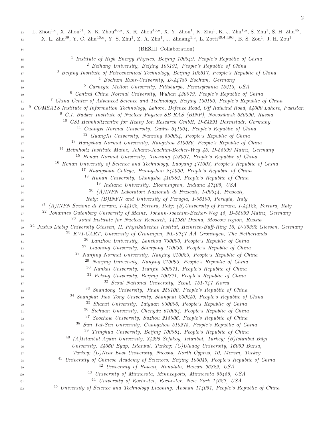| 52<br>53 | L. Zhou <sup>1,a</sup> , X. Zhou <sup>51</sup> , X. K. Zhou <sup>46,a</sup> , X. R. Zhou <sup>46,a</sup> , X. Y. Zhou <sup>1</sup> , K. Zhu <sup>1</sup> , K. J. Zhu <sup>1,a</sup> , S. Zhu <sup>1</sup> , S. H. Zhu <sup>45</sup> ,<br>X. L. Zhu <sup>39</sup> , Y. C. Zhu <sup>46,a</sup> , Y. S. Zhu <sup>1</sup> , Z. A. Zhu <sup>1</sup> , J. Zhuang <sup>1,a</sup> , L. Zotti <sup>49A,49C</sup> , B. S. Zou <sup>1</sup> , J. H. Zou <sup>1</sup> |
|----------|-----------------------------------------------------------------------------------------------------------------------------------------------------------------------------------------------------------------------------------------------------------------------------------------------------------------------------------------------------------------------------------------------------------------------------------------------------------|
| 54       | (BESIII Collaboration)                                                                                                                                                                                                                                                                                                                                                                                                                                    |
|          |                                                                                                                                                                                                                                                                                                                                                                                                                                                           |
| 55       | <sup>1</sup> Institute of High Energy Physics, Beijing 100049, People's Republic of China                                                                                                                                                                                                                                                                                                                                                                 |
| 56       | <sup>2</sup> Beihang University, Beijing 100191, People's Republic of China                                                                                                                                                                                                                                                                                                                                                                               |
| 57       | <sup>3</sup> Beijing Institute of Petrochemical Technology, Beijing 102617, People's Republic of China                                                                                                                                                                                                                                                                                                                                                    |
| 58       | <sup>4</sup> Bochum Ruhr-University, D-44780 Bochum, Germany                                                                                                                                                                                                                                                                                                                                                                                              |
| 59       | <sup>5</sup> Carnegie Mellon University, Pittsburgh, Pennsylvania 15213, USA<br>6                                                                                                                                                                                                                                                                                                                                                                         |
| 60       | Central China Normal University, Wuhan 430079, People's Republic of China<br>7                                                                                                                                                                                                                                                                                                                                                                            |
| 61       | China Center of Advanced Science and Technology, Beijing 100190, People's Republic of China<br>8                                                                                                                                                                                                                                                                                                                                                          |
| 62       | COMSATS Institute of Information Technology, Lahore, Defence Road, Off Raiwind Road, 54000 Lahore, Pakistan                                                                                                                                                                                                                                                                                                                                               |
| 63       | <sup>9</sup> G.I. Budker Institute of Nuclear Physics SB RAS (BINP), Novosibirsk 630090, Russia<br>10                                                                                                                                                                                                                                                                                                                                                     |
| 64       | GSI Helmholtzcentre for Heavy Ion Research GmbH, D-64291 Darmstadt, Germany<br>Guangxi Normal University, Guilin 541004, People's Republic of China<br>11                                                                                                                                                                                                                                                                                                 |
| 65       | <sup>12</sup> GuangXi University, Nanning 530004, People's Republic of China                                                                                                                                                                                                                                                                                                                                                                              |
| 66       | <sup>13</sup> Hangzhou Normal University, Hangzhou 310036, People's Republic of China                                                                                                                                                                                                                                                                                                                                                                     |
| 67       | <sup>14</sup> Helmholtz Institute Mainz, Johann-Joachim-Becher-Weg 45, D-55099 Mainz, Germany                                                                                                                                                                                                                                                                                                                                                             |
| 68       | <sup>15</sup> Henan Normal University, Xinxiang 453007, People's Republic of China                                                                                                                                                                                                                                                                                                                                                                        |
| 69       | <sup>16</sup> Henan University of Science and Technology, Luoyang 471003, People's Republic of China                                                                                                                                                                                                                                                                                                                                                      |
| 70       | 17<br>Huangshan College, Huangshan 245000, People's Republic of China                                                                                                                                                                                                                                                                                                                                                                                     |
| 71<br>72 | <sup>18</sup> Hunan University, Changsha 410082, People's Republic of China                                                                                                                                                                                                                                                                                                                                                                               |
| 73       | Indiana University, Bloomington, Indiana 47405, USA<br>19                                                                                                                                                                                                                                                                                                                                                                                                 |
| 74       | 20<br>(A)INFN Laboratori Nazionali di Frascati, I-00044, Frascati,                                                                                                                                                                                                                                                                                                                                                                                        |
| 75       | Italy; (B)INFN and University of Perugia, I-06100, Perugia, Italy                                                                                                                                                                                                                                                                                                                                                                                         |
| 76       | <sup>21</sup> (A)INFN Sezione di Ferrara, I-44122, Ferrara, Italy; (B)University of Ferrara, I-44122, Ferrara, Italy                                                                                                                                                                                                                                                                                                                                      |
| 77       | <sup>22</sup> Johannes Gutenberg University of Mainz, Johann-Joachim-Becher-Weg 45, D-55099 Mainz, Germany                                                                                                                                                                                                                                                                                                                                                |
| 78       | <sup>23</sup> Joint Institute for Nuclear Research, 141980 Dubna, Moscow region, Russia                                                                                                                                                                                                                                                                                                                                                                   |
| 79       | 24<br>Justus Liebig University Giessen, II. Physikalisches Institut, Heinrich-Buff-Ring 16, D-35392 Giessen, Germany                                                                                                                                                                                                                                                                                                                                      |
| 80       | 25<br>KVI-CART, University of Groningen, NL-9747 AA Groningen, The Netherlands                                                                                                                                                                                                                                                                                                                                                                            |
| 81       | Lanzhou University, Lanzhou 730000, People's Republic of China<br>26                                                                                                                                                                                                                                                                                                                                                                                      |
| 82       | <sup>27</sup> Liaoning University, Shenyang 110036, People's Republic of China                                                                                                                                                                                                                                                                                                                                                                            |
| 83       | <sup>28</sup> Nanjing Normal University, Nanjing 210023, People's Republic of China                                                                                                                                                                                                                                                                                                                                                                       |
| 84       | <sup>29</sup> Nanjing University, Nanjing 210093, People's Republic of China                                                                                                                                                                                                                                                                                                                                                                              |
| 85       | <sup>30</sup> Nankai University, Tianjin 300071, People's Republic of China                                                                                                                                                                                                                                                                                                                                                                               |
| 86       | <sup>31</sup> Peking University, Beijing 100871, People's Republic of China                                                                                                                                                                                                                                                                                                                                                                               |
| 87       | <sup>32</sup> Seoul National University, Seoul, 151-747 Korea                                                                                                                                                                                                                                                                                                                                                                                             |
| 88       | 33<br>Shandong University, Jinan 250100, People's Republic of China                                                                                                                                                                                                                                                                                                                                                                                       |
| 89       | <sup>34</sup> Shanghai Jiao Tong University, Shanghai 200240, People's Republic of China<br><sup>35</sup> Shanxi University, Taiyuan 030006, People's Republic of China                                                                                                                                                                                                                                                                                   |
| 90       | <sup>36</sup> Sichuan University, Chengdu 610064, People's Republic of China                                                                                                                                                                                                                                                                                                                                                                              |
| 91       | <sup>37</sup> Soochow University, Suzhou 215006, People's Republic of China                                                                                                                                                                                                                                                                                                                                                                               |
| 92<br>93 | 38<br>Sun Yat-Sen University, Guangzhou 510275, People's Republic of China                                                                                                                                                                                                                                                                                                                                                                                |
| 94       | 39<br>Tsinghua University, Beijing 100084, People's Republic of China                                                                                                                                                                                                                                                                                                                                                                                     |
| 95       | 40<br>(A)Istanbul Aydin University, 34295 Sefakoy, Istanbul, Turkey; (B)Istanbul Bilgi                                                                                                                                                                                                                                                                                                                                                                    |
| 96       | University, $34060$ Eyup, Istanbul, Turkey; (C)Uludag University, 16059 Bursa,                                                                                                                                                                                                                                                                                                                                                                            |
| 97       | Turkey; (D)Near East University, Nicosia, North Cyprus, 10, Mersin, Turkey                                                                                                                                                                                                                                                                                                                                                                                |
| 98       | 41<br>University of Chinese Academy of Sciences, Beijing 100049, People's Republic of China                                                                                                                                                                                                                                                                                                                                                               |
| 99       | <sup>42</sup> University of Hawaii, Honolulu, Hawaii 96822, USA                                                                                                                                                                                                                                                                                                                                                                                           |
| 100      | 43<br>University of Minnesota, Minneapolis, Minnesota 55455, USA                                                                                                                                                                                                                                                                                                                                                                                          |
| 101      | <sup>44</sup> University of Rochester, Rochester, New York 14627, USA                                                                                                                                                                                                                                                                                                                                                                                     |
| 102      | <sup>45</sup> University of Science and Technology Liaoning, Anshan 114051, People's Republic of China                                                                                                                                                                                                                                                                                                                                                    |

2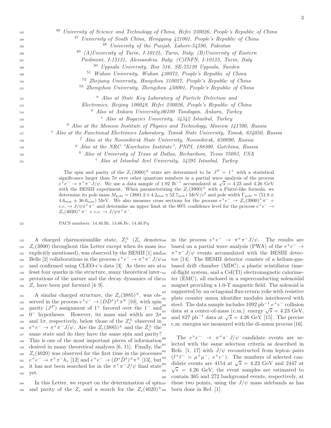| 103 | <sup>46</sup> University of Science and Technology of China, Hefei 230026, People's Republic of China |
|-----|-------------------------------------------------------------------------------------------------------|
| 104 | 47<br>University of South China, Hengyang 421001, People's Republic of China                          |
| 105 | University of the Punjab, Lahore-54590, Pakistan<br>48                                                |
| 106 | <sup>49</sup> (A)University of Turin, I-10125, Turin, Italy; (B)University of Eastern                 |
| 107 | Piedmont, I-15121, Alessandria, Italy; (C)INFN, I-10125, Turin, Italy                                 |
| 108 | 50<br>Uppsala University, Box 516, SE-75120 Uppsala, Sweden                                           |
| 109 | <sup>51</sup> Wuhan University, Wuhan 430072, People's Republic of China                              |
| 110 | <sup>52</sup> Zhejiang University, Hangzhou 310027, People's Republic of China                        |
| 111 | <sup>53</sup> Zhengzhou University, Zhengzhou 450001, People's Republic of China                      |
| 112 | <sup>a</sup> Also at State Key Laboratory of Particle Detection and                                   |
| 113 | Electronics, Beijing 100049, Hefei 230026, People's Republic of China                                 |
| 114 | <sup>b</sup> Also at Ankara University, 06100 Tandogan, Ankara, Turkey                                |
| 115 | <sup>c</sup> Also at Bogazici University, 34342 Istanbul, Turkey                                      |
| 116 | <sup>d</sup> Also at the Moscow Institute of Physics and Technology, Moscow 141700, Russia            |
| 117 | $e^e$ Also at the Functional Electronics Laboratory, Tomsk State University, Tomsk, 634050, Russia    |
| 118 | $f$ Also at the Novosibirsk State University, Novosibirsk, 630090, Russia                             |
| 119 | <sup>9</sup> Also at the NRC "Kurchatov Institute", PNPI, 188300, Gatchina, Russia                    |
| 120 | <sup>h</sup> Also at University of Texas at Dallas, Richardson, Texas 75083, USA                      |
| 121 | <sup>i</sup> Also at Istanbul Arel University, 34295 Istanbul, Turkey                                 |
|     |                                                                                                       |

121

The spin and parity of the  $Z_c(3900)^{\pm}$  state are determined to be  $J^P = 1^+$  with a statistical significance larger than  $7\sigma$  over other quantum numbers in a partial wave analysis of the process  $e^+e^- \rightarrow \pi^+\pi^-J/\psi$ . We use a data sample of 1.92 fb<sup>-1</sup> accumulated at  $\sqrt{s} = 4.23$  and 4.26 GeV with the BESIII experiment. When parameterizing the  $Z_c(3900)^{\pm}$  with a Flatté-like formula, we determine its pole mass  $M_{\text{pole}} = (3881.2 \pm 4.2_{\text{stat}} \pm 52.7_{\text{syst}}) \text{ MeV}/c^2$  and pole width  $\Gamma_{\text{pole}} = (51.8 \pm 1.2)$  $4.6<sub>stat</sub> \pm 36.0<sub>syst</sub>$  MeV. We also measure cross sections for the process  $e^+e^- \rightarrow Z_c(3900)^+\pi^-$  + c.c.  $\rightarrow$  J/ $\psi \pi^+ \pi^-$  and determine an upper limit at the 90% confidence level for the process  $e^+e^- \rightarrow$  $Z_c(4020)^+\pi^- + c.c. \to J/\psi\pi^+\pi^-.$ 

<sup>122</sup> PACS numbers: 14.40.Rt, 13.66.Bc, 14.40.Pq

<sup>123</sup> A charged charmoniumlike state,  $Z_c^{\pm}$  ( $Z_c$  denotes  $_{124}$   $Z_c(3900)$  throughout this Letter except when its mass is 147 125 explicitly mentioned), was observed by the BESIII [1] and  $_{148}$ 126 Belle [2] collaborations in the process  $e^+e^- \to \pi^+\pi^- J/\psi$ <sup>127</sup> and confirmed using CLEO-c's data [3]. As there are at <sup>128</sup> least four quarks in the structure, many theoretical inter-<sup>129</sup> pretations of the nature and the decay dynamics of the 130  $Z_c$  have been put forward [4–9].

131 A similar charged structure, the  $Z_c(3885)^{\pm}$ , was ob- $\frac{154}{15}$ served in the process  $e^+e^- \to (D\bar{D}^*)^{\pm}\pi^{\mp}$  [10], with spin <sup>133</sup> parity  $(J^P)$  assignment of 1<sup>+</sup> favored over the 1<sup>-</sup> and  $134$  0<sup>-</sup> hypotheses. However, its mass and width are  $2\sigma$ <sup>135</sup> and  $1\sigma$ , respectively, below those of the  $Z_c^{\pm}$  observed in <sup>136</sup>  $e^+e^- \to \pi^+\pi^-J/\psi$ . Are the  $Z_c(3885)^\pm$  and the  $Z_c^\pm$  the <sup>137</sup> same state and do they have the same spin and parity?  $138$  This is one of the most important pieces of information<sup>160</sup> 139 desired in many theoretical analyses  $[6, 11]$ . Finally, the<sup>161</sup> <sup>140</sup>  $Z_c(4020)$  was observed for the first time in the processes<sup>162</sup> 141  $e^+e^- \to \pi^+\pi^-h_c$  [12] and  $e^+e^- \to (D^*\bar{D}^*)^{\pm}\pi^{\mp}$  [13], but <sup>142</sup> it has not been searched for in the  $\pi^{+}\pi^{-}J/\psi$  final state <sup>143</sup> yet.

<sup>144</sup> In this Letter, we report on the determination of spin<sub>167</sub> <sup>145</sup> and parity of the  $Z_c$  and a search for the  $Z_c(4020)^{\pm}$  168

<sup>146</sup> in the process  $e^+e^- \rightarrow \pi^+\pi^-J/\psi$ . The results are based on a partial wave analysis (PWA) of the  $e^+e^- \rightarrow$ <sup>148</sup>  $\pi^{+}\pi^{-}J/\psi$  events accumulated with the BESIII detector  $[14]$ . The BESIII detector consists of a helium-gasbased drift chamber (MDC), a plastic scintillator timeof-flight system, and a  $CsI(Tl)$  electromagnetic calorimeter (EMC), all enclosed in a superconducting solenoidal <sup>153</sup> magnet providing a 1.0-T magnetic field. The solenoid is supported by an octagonal flux-return yoke with resistive plate counter muon identifier modules interleaved with <sup>156</sup> steel. The data sample includes  $1092$  pb<sup>-1</sup>  $e^+e^-$  collision <sup>157</sup> data at a center-of-mass (c.m.) energy  $\sqrt{s} = 4.23$  GeV, <sup>158</sup> and 827 pb<sup>-1</sup> data at  $\sqrt{s} = 4.26$  GeV [15]. The precise c.m. energies are measured with the di-muon process [16].

160 The  $e^+e^- \rightarrow \pi^+\pi^-J/\psi$  candidate events are selected with the same selection criteria as described in Refs. [1, 17] with  $J/\psi$  reconstructed from lepton pairs <sup>163</sup>  $(\ell^+\ell^- = \mu^+\mu^-$ ,  $e^+e^-)$ . The numbers of selected candidate events are 4154 at  $\sqrt{s}$  = 4.23 GeV and 2447 at <sup>165</sup>  $\sqrt{s}$  = 4.26 GeV; the event samples are estimated to <sup>166</sup> contain 365 and 272 background events, respectively, at these two points, using the  $J/\psi$  mass sidebands as has been done in Ref.  $[1]$ .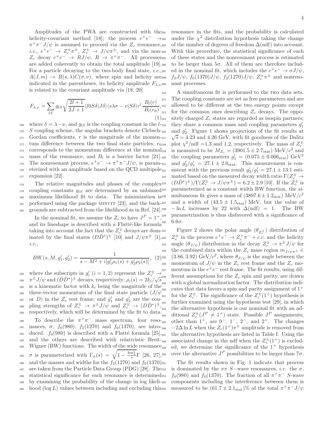Amplitudes of the PWA are constructed with the helicity-covariant method [18]; the process  $e^+e^- \rightarrow$  $\pi^{+}\pi^{-}J/\psi$  is assumed to proceed via the  $Z_c$  resonance, *i.e.*,  $e^+e^- \rightarrow Z_c^{\pm} \pi^{\mp}$ ,  $Z_c^{\pm} \rightarrow J/\psi \pi^{\pm}$ , and via the non- $Z_c$  decay  $e^+e^- \to RJ/\psi$ ,  $R \to \pi^+\pi^-$ . All processes are added coherently to obtain the total amplitude [19]. For a particle decaying to the two-body final state,  $i.e.,_{207}$  $A(J,m) \to B(s,\lambda)C(\sigma,\nu)$ , where spin and helicity are zos indicated in the parentheses, its helicity amplitude  $F_{\lambda,\nu}$ <sup>209</sup> is related to the covariant amplitude via [18, 20]

$$
F_{\lambda,\nu} = \sum_{lS} g_{lS} \sqrt{\frac{2l+1}{2J+1}} \langle l0S\delta | J\delta \rangle \langle s\lambda \sigma - \nu | S\delta \rangle r^l \frac{B_l(r)}{B_l(r_0)} \Big|_{213}^{212}
$$
\n
$$
(1)_{214}
$$

169 where  $\delta = \lambda - \nu$ , and  $g_{lS}$  is the coupling constant in the l-<sub>215</sub>  $_{170}$  S coupling scheme, the angular brackets denote Clebsch- $_{216}$  $171$  Gordan coefficients, r is the magnitude of the momen- $217$  $_{172}$  tum difference between the two final state particles,  $r_{0218}$  $173$  corresponds to the momentum difference at the nominal<sub>219</sub>  $_{174}$  mass of the resonance, and  $B_l$  is a barrier factor [21]. The nonresonant process,  $e^+e^- \to \pi^+\pi^- J/\psi$ , is param-176 eterized with an amplitude based on the QCD multipole<sub>222</sub> 177 expansion [22].

<sub>178</sub> The relative magnitudes and phases of the complex<sup>224</sup> 179 coupling constants  $g_{lS}$  are determined by an unbinned<sup>225</sup> <sup>180</sup> maximum likelihood fit to data. The minimization is 226  $_{181}$  performed using the package MINUIT [23], and the back- $^{227}$  $_{182}$  grounds are subtracted from the likelihood as in Ref. [24].<sup>228</sup>

In the nominal fit, we assume the  $Z_c$  to have  $J^P = 1^+,$ and its lineshape is described with a Flatté-like formula taking into account the fact that the  $Z_c^{\pm}$  decays are dominated by the final states  $(D\bar{D}^*)^{\pm}$  [10] and  $J/\psi \pi^{\pm}$  [1], i.e.,

$$
BW(s, M, g_1', g_2') = \frac{1}{s - M^2 + i[g_1'\rho_1(s) + g_2'\rho_2(s)]},
$$
 (2)<sup>235</sup><sub>236</sub>

where the subscripts in  $g'_i$   $(i = 1, 2)$  represent the  $Z_c^{\pm} \rightarrow$ <sup>184</sup>  $\pi^{\pm} J/\psi$  and  $(D\bar{D}^*)^{\pm}$  decays, respectively;  $\rho_i(s) = 2k_i/\sqrt{s}$ <sup>185</sup> is a kinematic factor with  $k_i$  being the magnitude of the  $\frac{240}{5}$ 186 three-vector momentum of the final state particle  $(J/\psi)$ <sup>187</sup> or *D*) in the  $Z_c$  rest frame; and  $g'_1$  and  $g'_2$  are the cou-<sup>188</sup> pling strengths of  $Z_c^{\pm} \to \pi^{\pm} J/\psi$  and  $Z_c^{\pm} \to (D\bar{D}^*)^{\pm}$ , respectively, which will be determined by the fit to data. 190 To describe the  $\pi^+\pi^-$  mass spectrum, four reso-191 nances,  $\sigma$ ,  $f_0(980)$ ,  $f_2(1270)$  and  $f_0(1370)$ , are intro-<sub>246</sub> <sup>192</sup> duced.  $f_0(980)$  is described with a Flatté formula  $[25]_{\text{max}}$ <sup>193</sup> and the others are described with relativistic Breit-194 Wigner (BW) functions. The width of the wide resonance<sub>249</sub> 195 σ is parameterized with  $\Gamma_{\sigma}(s) = \sqrt{1 - \frac{4m_{\pi}^2}{s}} \Gamma$  [26, 27], <sup>196</sup> and the masses and widths for the  $f_2(1270)$  and  $f_0(1370)_{251}$ 197 are taken from the Particle Data Group (PDG) [28]. The<sub>252</sub> <sup>198</sup> statistical significance for each resonance is determined <sup>199</sup> by examining the probability of the change in log likeli- $_{200}$  hood (log L) values between including and excluding this  $_{255}$ 

resonance in the fits, and the probability is calculated 202 under the  $\chi^2$  distribution hypothesis taking the change of the number of degrees of freedom  $\Delta(\text{ndf})$  into account. With this procedure, the statistical significance of each <sup>205</sup> of these states and the nonresonant process is estimated to be larger than  $5\sigma$ . All of them are therefore includ- $\text{eq} \cdot \text{eq} \cdot \text{eq} \cdot \text{eq} \cdot \text{eq} \cdot \text{eq} \cdot \text{eq} \cdot \text{eq} \cdot \text{eq} \cdot \text{eq} \cdot \text{eq} \cdot \text{eq} \cdot \text{eq} \cdot \text{eq} \cdot \text{eq} \cdot \text{eq} \cdot \text{eq} \cdot \text{eq} \cdot \text{eq} \cdot \text{eq} \cdot \text{eq} \cdot \text{eq} \cdot \text{eq} \cdot \text{eq} \cdot \text{eq} \cdot \text{eq} \cdot \text{eq} \cdot \text{eq} \cdot \text{eq} \cdot \text{eq} \cdot \text{eq} \cdot \text$ <sup>208</sup>  $f_0 J/\psi$ ,  $f_0(1370) J/\psi$ ,  $f_2(1270) J/\psi$ ,  $Z_c^{\pm} \pi^{\mp}$  and nonresonant processes.

A simultaneous fit is performed to the two data sets. The coupling constants are set as free parameters and are allowed to be different at the two energy points except for the common ones describing  $Z_c$  decays. The oppositely charged  $Z_c$  states are regarded as isospin partners; they share a common mass and coupling parameters  $g'_1$ <sup>216</sup> and  $g'_2$ . Figure 1 shows projections of the fit results at <sup>217</sup>  $\sqrt{s} = 4.23$  and 4.26 GeV, with fit goodness of the Dalitz plot  $\chi^2/\text{ndf} = 1.3$  and 1.2, respectively. The mass of  $Z_c^{\pm}$ 219 is measured to be  $M_{Z_c} = (3901.5 \pm 2.7_{\text{stat}}) \text{ MeV}/c^2$  and the coupling parameters  $g'_1 = (0.075 \pm 0.006_{\text{stat}}) \text{ GeV}^2$ <sup>221</sup> and  $g'_2/g'_1 = 27.1 \pm 2.0$ <sub>stat</sub>. This measurement is consistent with the previous result  $g'_2/g'_1 = 27.1 \pm 13.1$  estimated based on the measured decay width ratio  $\Gamma(Z_c^{\pm} \to$ <sup>224</sup>  $(D\bar{D}^*)^{\pm}$ )/ $\Gamma(Z_c^{\pm} \to J/\psi \pi^{\pm}) = 6.2 \pm 2.9$  [10]. If the  $Z_c^{\pm}$  is parameterized as a constant width BW function, the simultaneous fit gives a mass of  $(3897.6 \pm 1.2<sub>stat</sub>)$  MeV/ $c<sup>2</sup>$ and a width of  $(43.5 \pm 1.5<sub>stat</sub>)$  MeV, but the value of  $-\ln L$  increases by 22 with  $\Delta(\text{ndf}) = 1$ . The BW parametrization is thus disfavored with a significance of  $6.6\sigma$ .

 $F_{231}$  Figure 2 shows the polar angle  $(\theta_{Z_c^{\pm}})$  distribution of <sup>232</sup>  $Z_c^{\pm}$  in the process  $e^+e^- \rightarrow Z_c^+\pi^- + c.c.$  and the helicity angle  $(\theta_{J/\psi})$  distribution in the decay  $Z_c^{\pm} \to \pi^{\pm} J/\psi$  for <sup>234</sup> the combined data within the  $Z_c$  mass region  $m_{J/\psi\pi^{\pm}} \in$ <sup>235</sup> (3.86, 3.92) GeV/ $c^2$ , where  $\theta_{J/\psi}$  is the angle between the momentum of  $J/\psi$  in the  $Z_c$  rest frame and the  $Z_c$  mo- $_{237}$  mentum in the  $e^+e^-$  rest frame. The fit results, using different assumptions for the  $Z_c$  spin and parity, are drawn with a global normalization factor. The distribution indicates that data favors a spin and parity assignment of  $1^+$ <sup>241</sup> for the  $Z_c^{\pm}$ . The significance of the  $Z_c^{\pm}(1^+)$  hypothesis is further examined using the hypothesis test  $[29]$ , in which the alternative hypothesis is our nominal fit with an ad-<sup>244</sup> ditional  $Z_c^{\pm}(J^P \neq 1^+)$  state. Possible  $J^P$  assignments, other than  $1^+$ , are  $0^-$ ,  $1^-$ ,  $2^-$ , and  $2^+$ . The changes <sup>246</sup> -2∆ ln L when the  $Z_c(1^+)\pi^{\mp}$  amplitude is removed from the alternative hypothesis are listed in Table I. Using the <sup>248</sup> associated change in the ndf when the  $Z_c^{\pm}(1^+)$  is excluded, we determine the significance of the  $1^+$  hypothesis <sup>250</sup> over the alternative  $J^P$  possibilities to be larger than  $7\sigma$ .

The fit results shown in Fig. 1 indicate that process is dominated by the  $\pi \pi$  S−wave resonances, *i.e.* the  $\sigma$ , <sup>253</sup>  $f_0(980)$  and  $f_0(1370)$ . The fraction of all  $\pi^+\pi^-$  S-wave components including the interference between them is 255 measured to be  $(61.7 \pm 2.1_{\text{stat}})\%$  of the total  $\pi^{+}\pi^{-}J/\psi$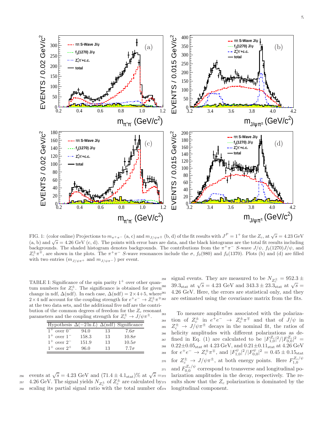

FIG. 1: (color online) Projections to  $m_{\pi^+\pi^-}$  (a, c) and  $m_{J/\psi\pi^{\pm}}$  (b, d) of the fit results with  $J^P = 1^+$  for the  $Z_c$ , at  $\sqrt{s} = 4.23$  GeV (a, b) and  $\sqrt{s} = 4.26$  GeV (c, d). The points with error bars are data, and the black histograms are the total fit results including backgrounds. The shaded histogram denotes backgrounds. The contributions from the  $\pi^+\pi^-$  S-wave  $J/\psi$ ,  $f_2(1270)J/\psi$ , and  $Z_c^{\pm}\pi^{\mp}$ , are shown in the plots. The  $\pi^+\pi^-$  S-wave resonances include the  $\sigma$ ,  $f_0(980)$  and  $f_0(1370)$ . Plots (b) and (d) are filled with two entries  $(m_{J/\psi\pi^+}$  and  $m_{J/\psi\pi^-}$ ) per event.

270

TABLE I: Significance of the spin parity  $1^+$  over other quantum numbers for  $Z_c^{\pm}$ . The significance is obtained for given change in ndf,  $\Delta(\text{ndf})$ . In each case,  $\Delta(\text{ndf}) = 2 \times 4 + 5$ , where<sup>261</sup>  $2 \times 4$  ndf account for the coupling strength for  $e^+e^- \to Z_c^{\pm} \pi^{\mp}$ at the two data sets, and the additional five ndf are the contribution of the common degrees of freedom for the  $Z_c$  resonant parameters and the coupling strength for  $Z_c^{\pm} \to J/\psi \pi^{\pm}$ .

|                  |       |    | Hypothesis $\Delta(-2 \ln L) \Delta(\text{ndf})$ Significance |
|------------------|-------|----|---------------------------------------------------------------|
| $1^+$ over $0^-$ | 94.0  | 13 | $7.6\sigma$                                                   |
| $1^+$ over $1^-$ | 158.3 | 13 | $10.8\sigma$                                                  |
| $1^+$ over $2^-$ | 151.9 | 13 | $10.5\sigma$                                                  |
| $1^+$ over $2^+$ | 96.0  | 13 | $7.7\sigma$                                                   |

events at  $\sqrt{s} = 4.23 \text{ GeV}$  and  $(71.4 \pm 4.1_{\text{stat}})\%$  at  $\sqrt{s} =$ <sup>257</sup> 4.26 GeV. The signal yields  $N_{Z_c^{\pm}}$  of  $Z_c^{\pm}$  are calculated by <sup>258</sup> scaling its partial signal ratio with the total number of

<sup>259</sup> signal events. They are measured to be  $N_{Z_c^{\pm}} = 952.3 \pm 10^{10}$ 260 39.3<sub>stat</sub> at  $\sqrt{s} = 4.23$  GeV and  $343.3 \pm 23.3$ <sub>stat</sub> at  $\sqrt{s} =$ 4.26 GeV. Here, the errors are statistical only, and they are estimated using the covariance matrix from the fits.

To measure amplitudes associated with the polariza-264 tion of  $Z_c^{\pm}$  in  $e^+e^- \rightarrow Z_c^{\pm}\pi^{\mp}$  and that of  $J/\psi$  in <sup>265</sup>  $Z_c^{\pm}$   $\rightarrow$   $J/\psi \pi^{\pm}$  decays in the nominal fit, the ratios of <sup>266</sup> helicity amplitudes with different polarizations as de- $_{267}$  fined in Eq. (1) are calculated to be  $|F_{1,0}^{Z_c}|^2/|F_{0,0}^{Z_c}|^2 =$ 268 0.22 $\pm$ 0.05<sub>stat</sub> at 4.23 GeV, and 0.21 $\pm$ 0.11<sub>stat</sub> at 4.26 GeV  $f_{269}$  for  $e^+e^- \to Z_c^{\pm}\pi^{\mp}$ , and  $|F_{1,0}^{\psi}|^2/|F_{0,0}^{\psi}|^2 = 0.45 \pm 0.15_{stat}$ for  $Z_c^{\pm} \to J/\psi \pi^{\pm}$ , at both energy points. Here  $F_{1,0}^{Z_c/\psi}$ <sup>271</sup> and  $F_{0,0}^{Z_c/\psi}$  correspond to transverse and longitudinal polarization amplitudes in the decay, respectively. The results show that the  $Z_c$  polarization is dominated by the longitudinal component.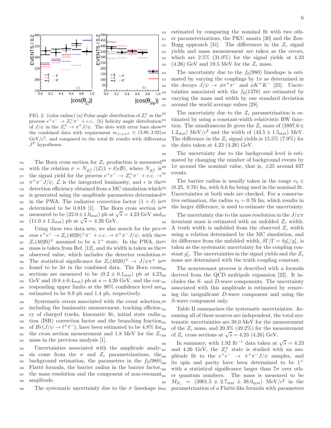

FIG. 2: (color online) (a) Polar angle distribution of  $Z_c^{\pm}$  in the process  $e^+e^- \to Z_c^+\pi^- + c.c.$  (b) helicity angle distribution of  $J/\psi$  in the  $Z_c^{\pm} \to \pi^{\pm} J/\psi$ . The dots with error bars show the combined data with requirement  $m_{J/\psi\pi^{\pm}} \in (3.86, 3.92)$ <sup>325</sup>  $GeV/c^2$ , and compared to the total fit results with different  $J^P$  hypotheses.

275 The Born cross section for  $Z_c$  production is measured<sup>329</sup> 276 with the relation  $\sigma = N_{Z_c^{\pm}}/(\mathcal{L}(1+\delta)\epsilon \mathcal{B})$ , where  $N_{Z_c^{\pm}}$  is  $\lim_{z \to z_0}$  the signal yield for the process  $e^+e^- \to Z_c^+\pi^- + c.c. \to$  $\pi^+\pi^-J/\psi$ , *L* is the integrated luminosity, and *ε* is the 279 detection efficiency obtained from a MC simulation which<sup>333</sup> <sup>280</sup> is generated using the amplitude parameters determined <sup>281</sup> in the PWA. The radiative correction factor  $(1 + \delta)$  is<sup>335</sup> <sup>282</sup> determined to be 0.818 [1]. The Born cross section is measured to be  $(22.0 \pm 1.0)$ <sub>stat</sub>) pb at  $\sqrt{s} = 4.23$  GeV and 284 (11.0 ± 1.2<sub>stat</sub>) pb at  $\sqrt{s} = 4.26$  GeV.

<sup>285</sup> Using these two data sets, we also search for the pro-<sup>286</sup> cess  $e^+e^- \to Z_c(4020)^+\pi^- + c.c. \to \pi^+\pi^-J/\psi$ , with the <sup>287</sup>  $Z_c(4020)^{\pm}$  assumed to be a 1<sup>+</sup> state. In the PWA, its<sup>341</sup> <sup>288</sup> mass is taken from Ref. [12], and its width is taken as the <sup>289</sup> observed value, which includes the detector resolution. 290 The statistical significance for  $Z_c(4020)^{\pm} \rightarrow J/\psi \pi^{\pm}$  is 344 <sup>291</sup> found to be  $3\sigma$  in the combined data. The Born cross<sub>345</sub> 292 sections are measured to be  $(0.2 \pm 0.1<sub>stat</sub>)$  pb at  $4.23<sub>346</sub>$ 293 GeV and  $(0.8 \pm 0.4_{\text{stat}})$  pb at  $s = 4.26 \text{ GeV}$ , and the cor-347  $294$  responding upper limits at the 90% confidence level are<sub>348</sub> <sup>295</sup> estimated to be 0.9 pb and 1.4 pb, respectively.

<sup>296</sup> Systematic errors associated with the event selection,  $_{297}$  including the luminosity measurement, tracking efficien- $_{351}$ <sup>298</sup> cy of charged tracks, kinematic fit, initial state radia- $_{299}$  tion (ISR) correction factor and the branching fraction <sup>300</sup> of  $Br(J/\psi \to \ell^+ \ell^-)$ , have been estimated to be 4.8% for 301 the cross section measurement and 1.8 MeV for the  $Z_{c355}$ <sup>302</sup> mass in the previous analysis [1].

<sup>303</sup> Uncertainties associated with the amplitude analy-<sub>357</sub> 304 sis come from the  $\sigma$  and  $Z_c$  parametrizations, the<sub>358</sub> 305 background estimation, the parameters in the  $f_0(980)_{359}$  $_{306}$  Flatté formula, the barrier radius in the barrier factor, 307 the mass resolution and the component of non-resonant<sub>361</sub> <sup>308</sup> amplitude.

309 The systematic uncertainty due to the  $\sigma$  lineshape isses

 estimated by comparing the nominal fit with two oth- er parameterizations, the PKU ansatz [30] and the Zou- Bugg approach [31]. The differences in the  $Z_c$  signal yields and mass measurement are taken as the errors,  $_{314}$  which are  $2.5\%$  (31.0%) for the signal yields at 4.23 315 (4.26) GeV and 19.5 MeV for the  $Z_c$  mass.

 $_{316}$  The uncertainty due to the  $f_0(980)$  lineshape is esti- $_{317}$  mated by varying the couplings by  $1\sigma$  as determined in  $t_{\text{318}}$  the decays  $J/\psi \rightarrow \phi \pi^+ \pi^-$  and  $\phi K^+ K^-$  [25]. Uncertainties associated with the  $f_0(1370)$  are estimated by <sup>320</sup> varying the mass and width by one standard deviation <sup>321</sup> around the world average values [28].

The uncertainty due to the  $Z_c$  parametrization is estimated by using a constant-width relativistic BW function. The simultaneous fit gives the  $Z_c$  mass of (3897.6 $\pm$ <sup>325</sup> 1.2<sub>stat</sub>) MeV/ $c^2$  and the width of  $(43.5 \pm 1.5<sub>stat</sub>)$  MeV. The difference in the  $Z_c$  signal yields is 15.5% (7.9%) for  $327$  the data taken at 4.23 (4.26) GeV.

<sup>328</sup> The uncertainty due to the background level is estimated by changing the number of background events by  $1\sigma$  around the nominal value, that is,  $\pm 25$  around 637 events.

The barrier radius is usually taken in the range  $r_0 \in$  $(0.25, 0.76)$  fm, with 0.6 fm being used in the nominal fit. Uncertainties at both ends are checked. For a conservative estimation, the radius  $r_0 = 0.76$  fm, which results in the larger difference, is used to estimate the uncertainty.

The uncertainty due to the mass resolution in the  $J/\psi\pi$  $338$  invariant mass is estimated with an unfolded  $Z_c$  width. A truth width is unfolded from the observed  $Z_c$  width using a relation determined by the MC simulation, and <sup>341</sup> its difference from the unfolded width,  $\delta \Gamma / \Gamma = \delta g'_1 / g'_1$ , is taken as the systematic uncertainty for the coupling con-<sup>343</sup> stant  $g'_1$ . The uncertainties in the signal yields and the  $Z_c$ mass are determined with the truth coupling constant.

The nonresonant process is described with a formula derived from the QCD multipole expansion [22]. It includes the  $S$ - and  $D$ -wave components. The uncertainty associated with this amplitude is estimated by remov-<sup>349</sup> ing the insignificant D-wave component and using the S-wave component only.

Table II summarizes the systematic uncertainties. Assuming all of these sources are independent, the total sys-<sup>353</sup> tematic uncertainties are 38.0 MeV for the measurement of the  $Z_c$  mass, and 20.3% (49.2%) for the measurement 355 of  $Z_c$  cross sections at  $\sqrt{s} = 4.23$  (4.26) GeV.

<sup>356</sup> In summary, with 1.92 fb<sup>-1</sup> data taken at  $\sqrt{s} = 4.23$ <sup>357</sup> and 4.26 GeV, the  $Z_c^{\pm}$  state is studied with an am-<sup>358</sup> plitude fit to the  $e^+e^- \rightarrow \pi^+\pi^-J/\psi$  samples, and its spin and parity have been determined to be  $1^+$ with a statistical significance larger than  $7\sigma$  over oth-<sup>361</sup> er quantum numbers. The mass is measured to be  $M_{Z_c} = (3901.5 \pm 2.7 \text{stat} \pm 38.0 \text{syst}) \text{ MeV}/c^2 \text{ in the}$ parametrization of a Flatté-like formula with parameters